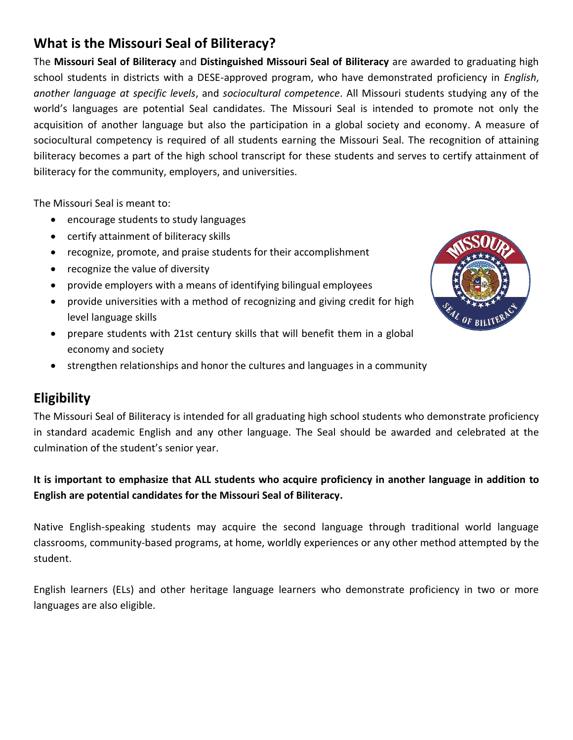# **What is the Missouri Seal of Biliteracy?**

The **Missouri Seal of Biliteracy** and **Distinguished Missouri Seal of Biliteracy** are awarded to graduating high school students in districts with a DESE-approved program, who have demonstrated proficiency in *English*, *another language at specific levels*, and *sociocultural competence*. All Missouri students studying any of the world's languages are potential Seal candidates. The Missouri Seal is intended to promote not only the acquisition of another language but also the participation in a global society and economy. A measure of sociocultural competency is required of all students earning the Missouri Seal. The recognition of attaining biliteracy becomes a part of the high school transcript for these students and serves to certify attainment of biliteracy for the community, employers, and universities.

The Missouri Seal is meant to:

- encourage students to study languages
- certify attainment of biliteracy skills
- recognize, promote, and praise students for their accomplishment
- recognize the value of diversity
- provide employers with a means of identifying bilingual employees
- provide universities with a method of recognizing and giving credit for high level language skills
- prepare students with 21st century skills that will benefit them in a global economy and society
- strengthen relationships and honor the cultures and languages in a community

## **Eligibility**

The Missouri Seal of Biliteracy is intended for all graduating high school students who demonstrate proficiency in standard academic English and any other language. The Seal should be awarded and celebrated at the culmination of the student's senior year.

#### **It is important to emphasize that ALL students who acquire proficiency in another language in addition to English are potential candidates for the Missouri Seal of Biliteracy.**

Native English-speaking students may acquire the second language through traditional world language classrooms, community-based programs, at home, worldly experiences or any other method attempted by the student.

English learners (ELs) and other heritage language learners who demonstrate proficiency in two or more languages are also eligible.